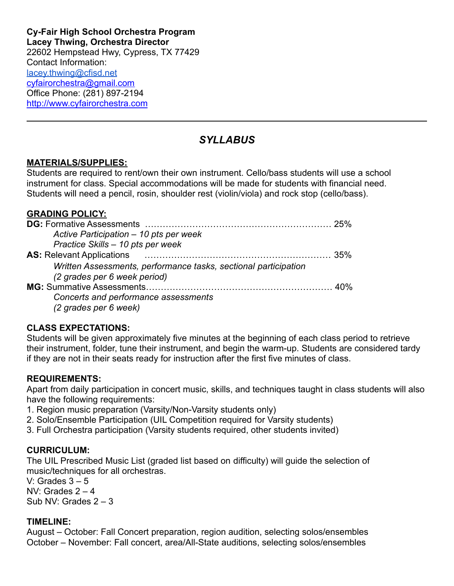**Cy-Fair High School Orchestra Program Lacey Thwing, Orchestra Director** 22602 Hempstead Hwy, Cypress, TX 77429 Contact Information: [lacey.thwing@cfisd.net](mailto:lacey.thwing@cfisd.net) [cyfairorchestra@gmail.com](mailto:cyfairorchestra@gmail.com) Office Phone: (281) 897-2194 <http://www.cyfairorchestra.com>

# *SYLLABUS*

# **MATERIALS/SUPPLIES:**

Students are required to rent/own their own instrument. Cello/bass students will use a school instrument for class. Special accommodations will be made for students with financial need. Students will need a pencil, rosin, shoulder rest (violin/viola) and rock stop (cello/bass).

#### **GRADING POLICY:**

|                                                                 | 25% |
|-----------------------------------------------------------------|-----|
| Active Participation - 10 pts per week                          |     |
| Practice Skills - 10 pts per week                               |     |
| <b>AS: Relevant Applications</b>                                | 35% |
| Written Assessments, performance tasks, sectional participation |     |
| (2 grades per 6 week period)                                    |     |
|                                                                 |     |
| Concerts and performance assessments                            |     |
| (2 grades per 6 week)                                           |     |

#### **CLASS EXPECTATIONS:**

Students will be given approximately five minutes at the beginning of each class period to retrieve their instrument, folder, tune their instrument, and begin the warm-up. Students are considered tardy if they are not in their seats ready for instruction after the first five minutes of class.

#### **REQUIREMENTS:**

Apart from daily participation in concert music, skills, and techniques taught in class students will also have the following requirements:

- 1. Region music preparation (Varsity/Non-Varsity students only)
- 2. Solo/Ensemble Participation (UIL Competition required for Varsity students)
- 3. Full Orchestra participation (Varsity students required, other students invited)

#### **CURRICULUM:**

The UIL Prescribed Music List (graded list based on difficulty) will guide the selection of music/techniques for all orchestras.

V: Grades  $3 - 5$ NV: Grades  $2 - 4$ Sub NV: Grades 2 – 3

#### **TIMELINE:**

August – October: Fall Concert preparation, region audition, selecting solos/ensembles October – November: Fall concert, area/All-State auditions, selecting solos/ensembles